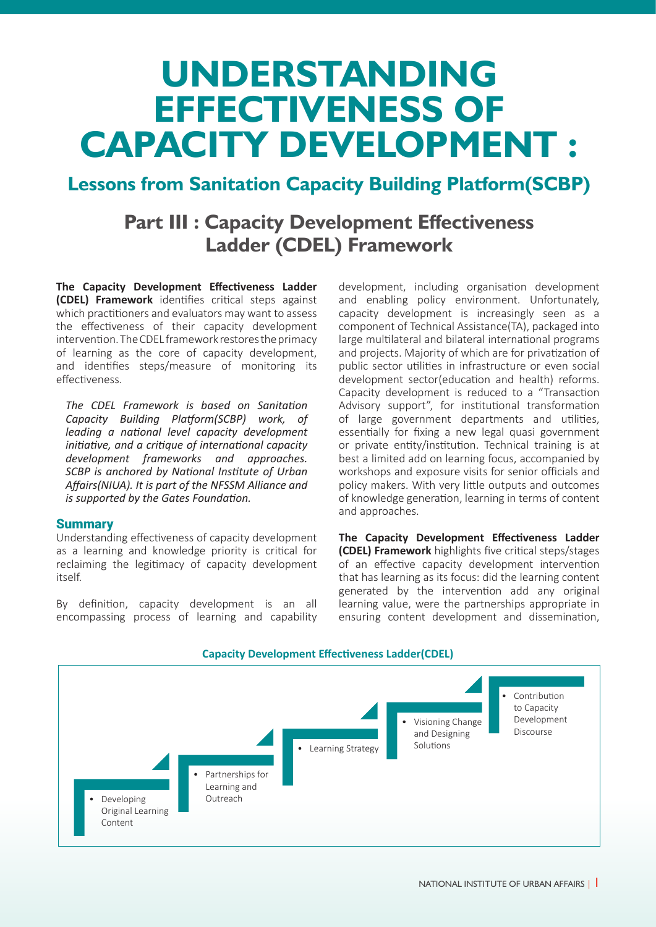# **UNDERSTANDING EFFECTIVENESS OF CAPACITY DEVELOPMENT :**

## **Lessons from Sanitation Capacity Building Platform(SCBP)**

## **Part III : Capacity Development Effectiveness Ladder (CDEL) Framework**

**The Capacity Development Effectiveness Ladder (CDEL) Framework** identifies critical steps against which practitioners and evaluators may want to assess the effectiveness of their capacity development intervention. The CDEL framework restores the primacy of learning as the core of capacity development, and identifies steps/measure of monitoring its effectiveness.

*The CDEL Framework is based on Sanitation Capacity Building Platform(SCBP) work, of leading a national level capacity development initiative, and a critique of international capacity development frameworks and approaches. SCBP is anchored by National Institute of Urban Affairs(NIUA). It is part of the NFSSM Alliance and is supported by the Gates Foundation.*

#### **Summary**

Understanding effectiveness of capacity development as a learning and knowledge priority is critical for reclaiming the legitimacy of capacity development itself.

By definition, capacity development is an all encompassing process of learning and capability

development, including organisation development and enabling policy environment. Unfortunately, capacity development is increasingly seen as a component of Technical Assistance(TA), packaged into large multilateral and bilateral international programs and projects. Majority of which are for privatization of public sector utilities in infrastructure or even social development sector(education and health) reforms. Capacity development is reduced to a "Transaction Advisory support", for institutional transformation of large government departments and utilities, essentially for fixing a new legal quasi government or private entity/institution. Technical training is at best a limited add on learning focus, accompanied by workshops and exposure visits for senior officials and policy makers. With very little outputs and outcomes of knowledge generation, learning in terms of content and approaches.

**The Capacity Development Effectiveness Ladder (CDEL) Framework** highlights five critical steps/stages of an effective capacity development intervention that has learning as its focus: did the learning content generated by the intervention add any original learning value, were the partnerships appropriate in ensuring content development and dissemination,

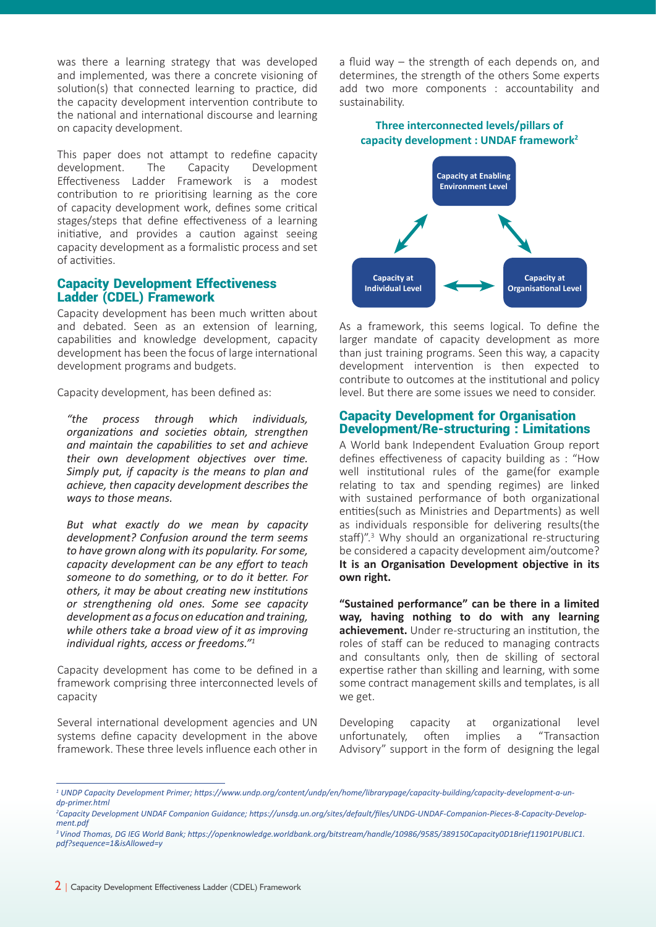was there a learning strategy that was developed and implemented, was there a concrete visioning of solution(s) that connected learning to practice, did the capacity development intervention contribute to the national and international discourse and learning on capacity development.

This paper does not attampt to redefine capacity development. The Capacity Development Effectiveness Ladder Framework is a modest contribution to re prioritising learning as the core of capacity development work, defines some critical stages/steps that define effectiveness of a learning initiative, and provides a caution against seeing capacity development as a formalistic process and set of activities.

#### Capacity Development Effectiveness Ladder (CDEL) Framework

Capacity development has been much written about and debated. Seen as an extension of learning, capabilities and knowledge development, capacity development has been the focus of large international development programs and budgets.

Capacity development, has been defined as:

*"the process through which individuals, organizations and societies obtain, strengthen and maintain the capabilities to set and achieve their own development objectives over time. Simply put, if capacity is the means to plan and achieve, then capacity development describes the ways to those means.*

*But what exactly do we mean by capacity development? Confusion around the term seems to have grown along with its popularity. For some, capacity development can be any effort to teach someone to do something, or to do it better. For others, it may be about creating new institutions or strengthening old ones. Some see capacity development as a focus on education and training, while others take a broad view of it as improving individual rights, access or freedoms."<sup>1</sup>*

Capacity development has come to be defined in a framework comprising three interconnected levels of capacity

Several international development agencies and UN systems define capacity development in the above framework. These three levels influence each other in a fluid way – the strength of each depends on, and determines, the strength of the others Some experts add two more components : accountability and sustainability.

#### **Three interconnected levels/pillars of capacity development : UNDAF framework<sup>2</sup>**



As a framework, this seems logical. To define the larger mandate of capacity development as more than just training programs. Seen this way, a capacity development intervention is then expected to contribute to outcomes at the institutional and policy level. But there are some issues we need to consider.

#### Capacity Development for Organisation Development/Re-structuring : Limitations

A World bank Independent Evaluation Group report defines effectiveness of capacity building as : "How well institutional rules of the game(for example relating to tax and spending regimes) are linked with sustained performance of both organizational entities(such as Ministries and Departments) as well as individuals responsible for delivering results(the staff)".<sup>3</sup> Why should an organizational re-structuring be considered a capacity development aim/outcome? **It is an Organisation Development objective in its own right.**

**"Sustained performance" can be there in a limited way, having nothing to do with any learning achievement.** Under re-structuring an institution, the roles of staff can be reduced to managing contracts and consultants only, then de skilling of sectoral expertise rather than skilling and learning, with some some contract management skills and templates, is all we get.

Developing capacity at organizational level unfortunately, often implies a "Transaction Advisory" support in the form of designing the legal

*<sup>1</sup> UNDP Capacity Development Primer; https://www.undp.org/content/undp/en/home/librarypage/capacity-building/capacity-development-a-undp-primer.html* 

*<sup>2</sup> Capacity Development UNDAF Companion Guidance; https://unsdg.un.org/sites/default/files/UNDG-UNDAF-Companion-Pieces-8-Capacity-Development.pdf*

*<sup>3</sup>Vinod Thomas, DG IEG World Bank; https://openknowledge.worldbank.org/bitstream/handle/10986/9585/389150Capacity0D1Brief11901PUBLIC1. pdf?sequence=1&isAllowed=y*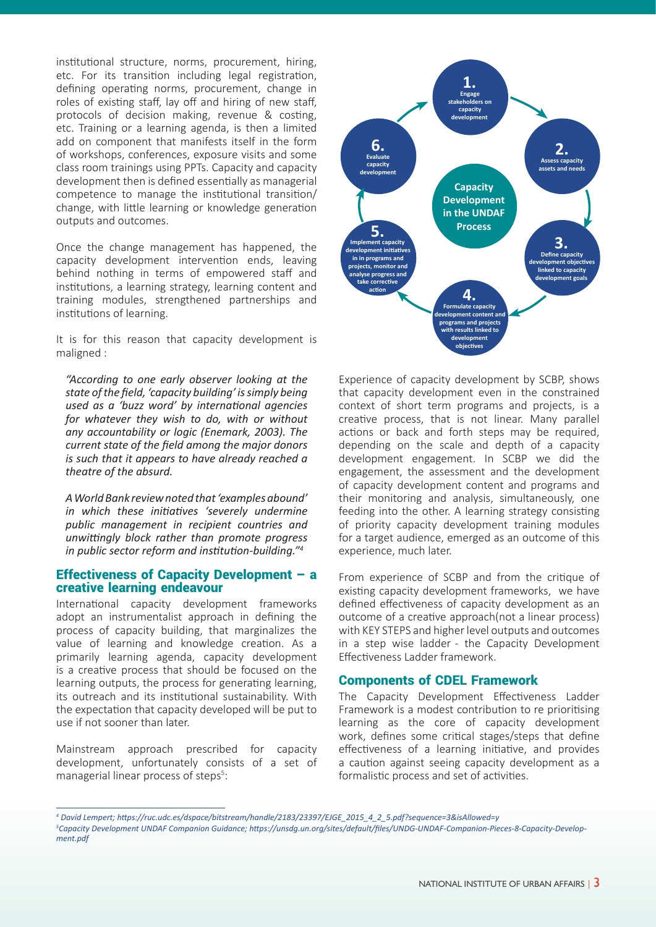institutional structure, norms, procurement, hiring, etc. For its transition including legal registration, defining operating norms, procurement, change in roles of existing staff, lay off and hiring of new staff, protocols of decision making, revenue & costing, etc. Training or a learning agenda, is then a limited add on component that manifests itself in the form of workshops, conferences, exposure visits and some class room trainings using PPTs. Capacity and capacity development then is defined essentially as managerial competence to manage the institutional transition/ change, with little learning or knowledge generation outputs and outcomes.

Once the change management has happened, the capacity development intervention ends, leaving behind nothing in terms of empowered staff and institutions, a learning strategy, learning content and training modules, strengthened partnerships and institutions of learning.

It is for this reason that capacity development is maligned :

*"According to one early observer looking at the state of the field, 'capacity building' is simply being used as a 'buzz word' by international agencies for whatever they wish to do, with or without any accountability or logic (Enemark, 2003). The current state of the field among the major donors is such that it appears to have already reached a theatre of the absurd.*

*A World Bank review noted that 'examples abound' in which these initiatives 'severely undermine public management in recipient countries and unwittingly block rather than promote progress in public sector reform and institution-building."<sup>4</sup>*

#### Effectiveness of Capacity Development – a creative learning endeavour

International capacity development frameworks adopt an instrumentalist approach in defining the process of capacity building, that marginalizes the value of learning and knowledge creation. As a primarily learning agenda, capacity development is a creative process that should be focused on the learning outputs, the process for generating learning, its outreach and its institutional sustainability. With the expectation that capacity developed will be put to use if not sooner than later.

Mainstream approach prescribed for capacity development, unfortunately consists of a set of managerial linear process of steps<sup>5</sup>:



Experience of capacity development by SCBP, shows that capacity development even in the constrained context of short term programs and projects, is a creative process, that is not linear. Many parallel actions or back and forth steps may be required, depending on the scale and depth of a capacity development engagement. In SCBP we did the engagement, the assessment and the development of capacity development content and programs and their monitoring and analysis, simultaneously, one feeding into the other. A learning strategy consisting of priority capacity development training modules for a target audience, emerged as an outcome of this experience, much later.

From experience of SCBP and from the critique of existing capacity development frameworks, we have defined effectiveness of capacity development as an outcome of a creative approach(not a linear process) with KEY STEPS and higher level outputs and outcomes in a step wise ladder - the Capacity Development Effectiveness Ladder framework.

#### Components of CDEL Framework

The Capacity Development Effectiveness Ladder Framework is a modest contribution to re prioritising learning as the core of capacity development work, defines some critical stages/steps that define effectiveness of a learning initiative, and provides a caution against seeing capacity development as a formalistic process and set of activities.

*<sup>4</sup> David Lempert; https://ruc.udc.es/dspace/bitstream/handle/2183/23397/EJGE\_2015\_4\_2\_5.pdf?sequence=3&isAllowed=y 5 Capacity Development UNDAF Companion Guidance; https://unsdg.un.org/sites/default/files/UNDG-UNDAF-Companion-Pieces-8-Capacity-Development.pdf*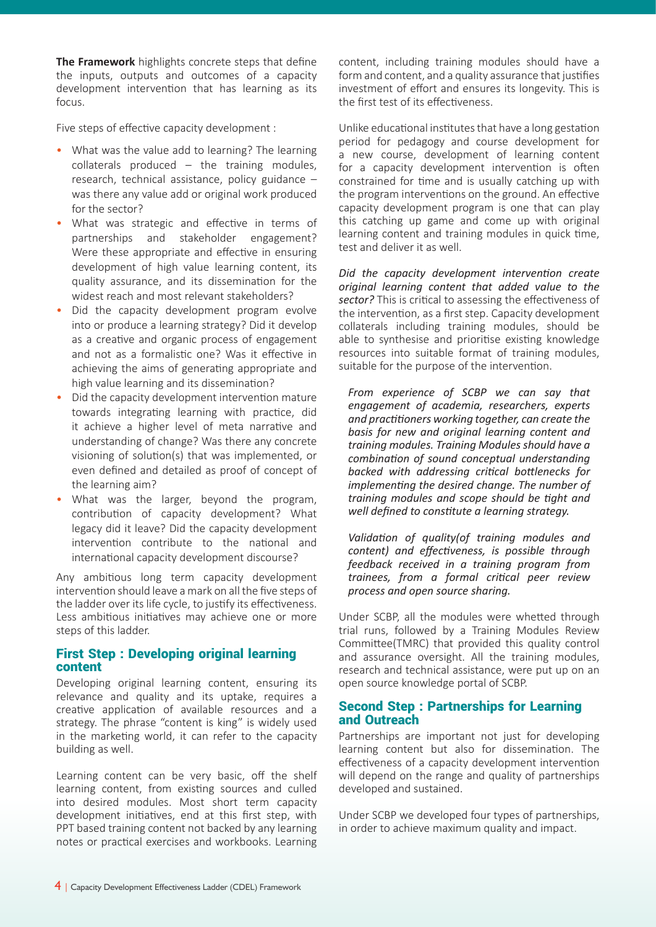**The Framework** highlights concrete steps that define the inputs, outputs and outcomes of a capacity development intervention that has learning as its focus.

Five steps of effective capacity development :

- What was the value add to learning? The learning collaterals produced – the training modules, research, technical assistance, policy guidance – was there any value add or original work produced for the sector?
- What was strategic and effective in terms of partnerships and stakeholder engagement? Were these appropriate and effective in ensuring development of high value learning content, its quality assurance, and its dissemination for the widest reach and most relevant stakeholders?
- Did the capacity development program evolve into or produce a learning strategy? Did it develop as a creative and organic process of engagement and not as a formalistic one? Was it effective in achieving the aims of generating appropriate and high value learning and its dissemination?
- Did the capacity development intervention mature towards integrating learning with practice, did it achieve a higher level of meta narrative and understanding of change? Was there any concrete visioning of solution(s) that was implemented, or even defined and detailed as proof of concept of the learning aim?
- What was the larger, beyond the program, contribution of capacity development? What legacy did it leave? Did the capacity development intervention contribute to the national and international capacity development discourse?

Any ambitious long term capacity development intervention should leave a mark on all the five steps of the ladder over its life cycle, to justify its effectiveness. Less ambitious initiatives may achieve one or more steps of this ladder.

### First Step : Developing original learning content

Developing original learning content, ensuring its relevance and quality and its uptake, requires a creative application of available resources and a strategy. The phrase "content is king" is widely used in the marketing world, it can refer to the capacity building as well.

Learning content can be very basic, off the shelf learning content, from existing sources and culled into desired modules. Most short term capacity development initiatives, end at this first step, with PPT based training content not backed by any learning notes or practical exercises and workbooks. Learning

content, including training modules should have a form and content, and a quality assurance that justifies investment of effort and ensures its longevity. This is the first test of its effectiveness.

Unlike educational institutes that have a long gestation period for pedagogy and course development for a new course, development of learning content for a capacity development intervention is often constrained for time and is usually catching up with the program interventions on the ground. An effective capacity development program is one that can play this catching up game and come up with original learning content and training modules in quick time, test and deliver it as well.

*Did the capacity development intervention create original learning content that added value to the sector?* This is critical to assessing the effectiveness of the intervention, as a first step. Capacity development collaterals including training modules, should be able to synthesise and prioritise existing knowledge resources into suitable format of training modules, suitable for the purpose of the intervention.

*From experience of SCBP we can say that engagement of academia, researchers, experts and practitioners working together, can create the basis for new and original learning content and training modules. Training Modules should have a combination of sound conceptual understanding backed with addressing critical bottlenecks for implementing the desired change. The number of training modules and scope should be tight and well defined to constitute a learning strategy.* 

*Validation of quality(of training modules and content) and effectiveness, is possible through feedback received in a training program from trainees, from a formal critical peer review process and open source sharing.* 

Under SCBP, all the modules were whetted through trial runs, followed by a Training Modules Review Committee(TMRC) that provided this quality control and assurance oversight. All the training modules, research and technical assistance, were put up on an open source knowledge portal of SCBP.

#### Second Step : Partnerships for Learning and Outreach

Partnerships are important not just for developing learning content but also for dissemination. The effectiveness of a capacity development intervention will depend on the range and quality of partnerships developed and sustained.

Under SCBP we developed four types of partnerships, in order to achieve maximum quality and impact.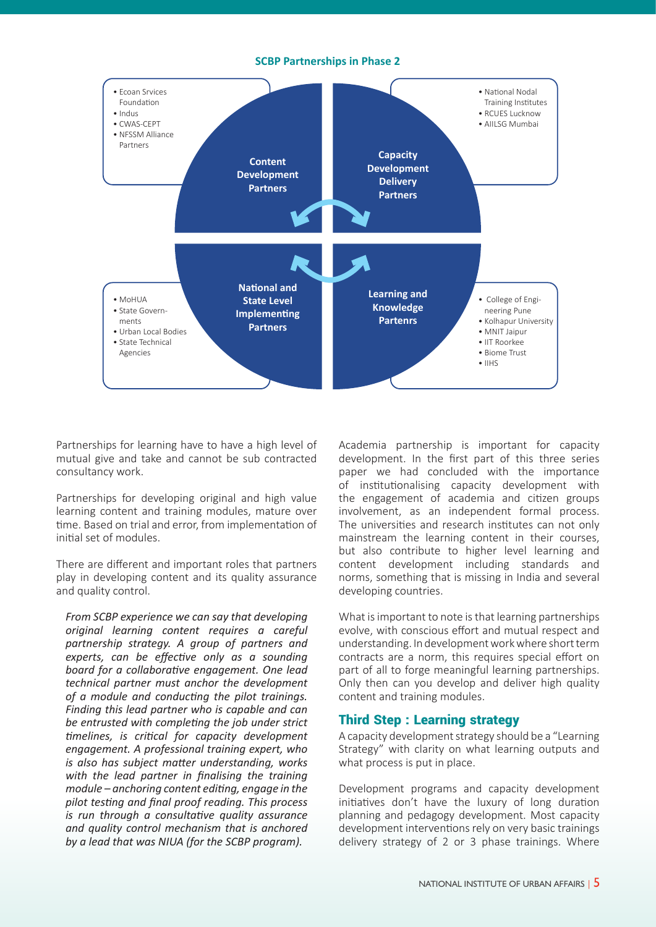#### **SCBP Partnerships in Phase 2**



Partnerships for learning have to have a high level of mutual give and take and cannot be sub contracted consultancy work.

Partnerships for developing original and high value learning content and training modules, mature over time. Based on trial and error, from implementation of initial set of modules.

There are different and important roles that partners play in developing content and its quality assurance and quality control.

*From SCBP experience we can say that developing original learning content requires a careful partnership strategy. A group of partners and experts, can be effective only as a sounding board for a collaborative engagement. One lead technical partner must anchor the development of a module and conducting the pilot trainings. Finding this lead partner who is capable and can be entrusted with completing the job under strict timelines, is critical for capacity development engagement. A professional training expert, who is also has subject matter understanding, works with the lead partner in finalising the training module – anchoring content editing, engage in the pilot testing and final proof reading. This process is run through a consultative quality assurance and quality control mechanism that is anchored by a lead that was NIUA (for the SCBP program).*

Academia partnership is important for capacity development. In the first part of this three series paper we had concluded with the importance of institutionalising capacity development with the engagement of academia and citizen groups involvement, as an independent formal process. The universities and research institutes can not only mainstream the learning content in their courses, but also contribute to higher level learning and content development including standards and norms, something that is missing in India and several developing countries.

What is important to note is that learning partnerships evolve, with conscious effort and mutual respect and understanding. In development work where short term contracts are a norm, this requires special effort on part of all to forge meaningful learning partnerships. Only then can you develop and deliver high quality content and training modules.

#### Third Step : Learning strategy

A capacity development strategy should be a "Learning Strategy" with clarity on what learning outputs and what process is put in place.

Development programs and capacity development initiatives don't have the luxury of long duration planning and pedagogy development. Most capacity development interventions rely on very basic trainings delivery strategy of 2 or 3 phase trainings. Where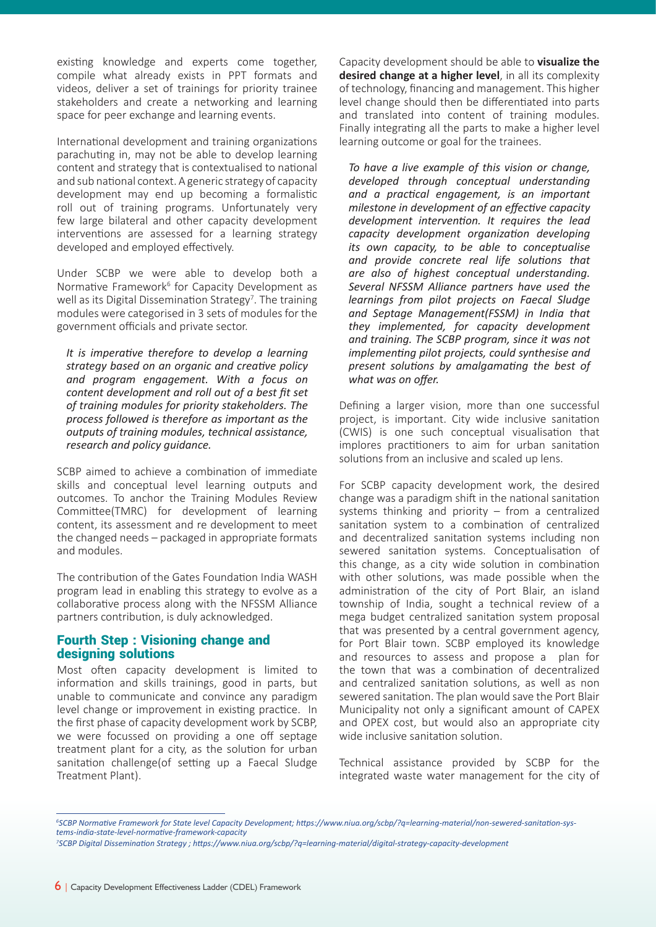existing knowledge and experts come together, compile what already exists in PPT formats and videos, deliver a set of trainings for priority trainee stakeholders and create a networking and learning space for peer exchange and learning events.

International development and training organizations parachuting in, may not be able to develop learning content and strategy that is contextualised to national and sub national context. A generic strategy of capacity development may end up becoming a formalistic roll out of training programs. Unfortunately very few large bilateral and other capacity development interventions are assessed for a learning strategy developed and employed effectively.

Under SCBP we were able to develop both a Normative Framework<sup>6</sup> for Capacity Development as well as its Digital Dissemination Strategy<sup>7</sup>. The training modules were categorised in 3 sets of modules for the government officials and private sector.

*It is imperative therefore to develop a learning strategy based on an organic and creative policy and program engagement. With a focus on content development and roll out of a best fit set of training modules for priority stakeholders. The process followed is therefore as important as the outputs of training modules, technical assistance, research and policy guidance.* 

SCBP aimed to achieve a combination of immediate skills and conceptual level learning outputs and outcomes. To anchor the Training Modules Review Committee(TMRC) for development of learning content, its assessment and re development to meet the changed needs – packaged in appropriate formats and modules.

The contribution of the Gates Foundation India WASH program lead in enabling this strategy to evolve as a collaborative process along with the NFSSM Alliance partners contribution, is duly acknowledged.

#### Fourth Step : Visioning change and designing solutions

Most often capacity development is limited to information and skills trainings, good in parts, but unable to communicate and convince any paradigm level change or improvement in existing practice. In the first phase of capacity development work by SCBP, we were focussed on providing a one off septage treatment plant for a city, as the solution for urban sanitation challenge(of setting up a Faecal Sludge Treatment Plant).

Capacity development should be able to **visualize the desired change at a higher level**, in all its complexity of technology, financing and management. This higher level change should then be differentiated into parts and translated into content of training modules. Finally integrating all the parts to make a higher level learning outcome or goal for the trainees.

*To have a live example of this vision or change, developed through conceptual understanding and a practical engagement, is an important milestone in development of an effective capacity development intervention. It requires the lead capacity development organization developing its own capacity, to be able to conceptualise and provide concrete real life solutions that are also of highest conceptual understanding. Several NFSSM Alliance partners have used the learnings from pilot projects on Faecal Sludge and Septage Management(FSSM) in India that they implemented, for capacity development and training. The SCBP program, since it was not implementing pilot projects, could synthesise and present solutions by amalgamating the best of what was on offer.*

Defining a larger vision, more than one successful project, is important. City wide inclusive sanitation (CWIS) is one such conceptual visualisation that implores practitioners to aim for urban sanitation solutions from an inclusive and scaled up lens.

For SCBP capacity development work, the desired change was a paradigm shift in the national sanitation systems thinking and priority – from a centralized sanitation system to a combination of centralized and decentralized sanitation systems including non sewered sanitation systems. Conceptualisation of this change, as a city wide solution in combination with other solutions, was made possible when the administration of the city of Port Blair, an island township of India, sought a technical review of a mega budget centralized sanitation system proposal that was presented by a central government agency, for Port Blair town. SCBP employed its knowledge and resources to assess and propose a plan for the town that was a combination of decentralized and centralized sanitation solutions, as well as non sewered sanitation. The plan would save the Port Blair Municipality not only a significant amount of CAPEX and OPEX cost, but would also an appropriate city wide inclusive sanitation solution.

Technical assistance provided by SCBP for the integrated waste water management for the city of

*<sup>6</sup> SCBP Normative Framework for State level Capacity Development; https://www.niua.org/scbp/?q=learning-material/non-sewered-sanitation-systems-india-state-level-normative-framework-capacity* 

*<sup>7</sup> SCBP Digital Dissemination Strategy ; https://www.niua.org/scbp/?q=learning-material/digital-strategy-capacity-development*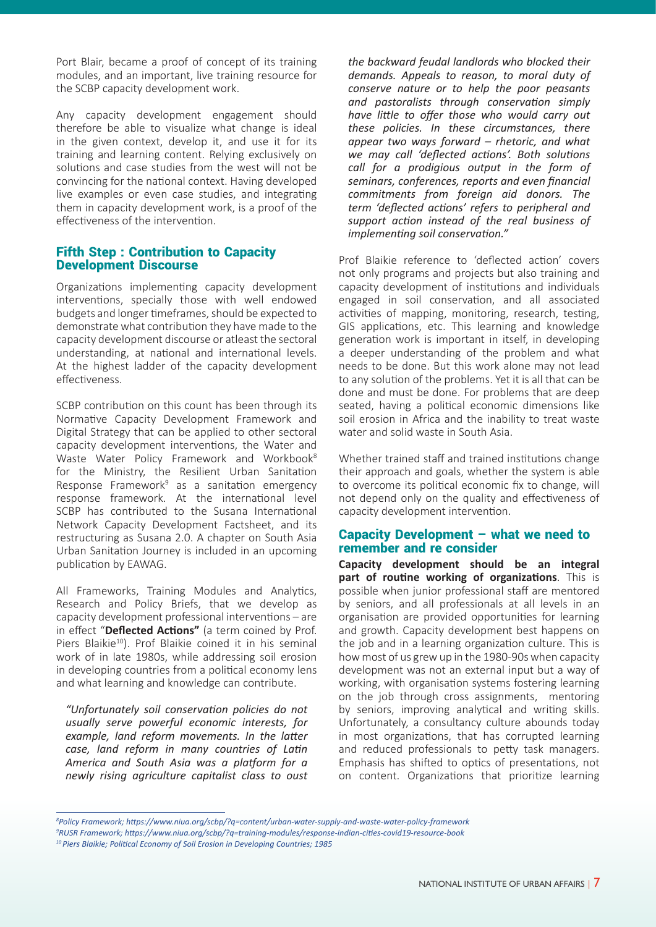Port Blair, became a proof of concept of its training modules, and an important, live training resource for the SCBP capacity development work.

Any capacity development engagement should therefore be able to visualize what change is ideal in the given context, develop it, and use it for its training and learning content. Relying exclusively on solutions and case studies from the west will not be convincing for the national context. Having developed live examples or even case studies, and integrating them in capacity development work, is a proof of the effectiveness of the intervention.

#### Fifth Step : Contribution to Capacity Development Discourse

Organizations implementing capacity development interventions, specially those with well endowed budgets and longer timeframes, should be expected to demonstrate what contribution they have made to the capacity development discourse or atleast the sectoral understanding, at national and international levels. At the highest ladder of the capacity development effectiveness.

SCBP contribution on this count has been through its Normative Capacity Development Framework and Digital Strategy that can be applied to other sectoral capacity development interventions, the Water and Waste Water Policy Framework and Workbook<sup>8</sup> for the Ministry, the Resilient Urban Sanitation Response Framework<sup>9</sup> as a sanitation emergency response framework. At the international level SCBP has contributed to the Susana International Network Capacity Development Factsheet, and its restructuring as Susana 2.0. A chapter on South Asia Urban Sanitation Journey is included in an upcoming publication by EAWAG.

All Frameworks, Training Modules and Analytics, Research and Policy Briefs, that we develop as capacity development professional interventions – are in effect "**Deflected Actions"** (a term coined by Prof. Piers Blaikie<sup>10</sup>). Prof Blaikie coined it in his seminal work of in late 1980s, while addressing soil erosion in developing countries from a political economy lens and what learning and knowledge can contribute.

*"Unfortunately soil conservation policies do not usually serve powerful economic interests, for example, land reform movements. In the latter case, land reform in many countries of Latin America and South Asia was a platform for a newly rising agriculture capitalist class to oust* 

*the backward feudal landlords who blocked their demands. Appeals to reason, to moral duty of conserve nature or to help the poor peasants and pastoralists through conservation simply have little to offer those who would carry out these policies. In these circumstances, there appear two ways forward – rhetoric, and what we may call 'deflected actions'. Both solutions call for a prodigious output in the form of seminars, conferences, reports and even financial commitments from foreign aid donors. The term 'deflected actions' refers to peripheral and support action instead of the real business of implementing soil conservation."*

Prof Blaikie reference to 'deflected action' covers not only programs and projects but also training and capacity development of institutions and individuals engaged in soil conservation, and all associated activities of mapping, monitoring, research, testing, GIS applications, etc. This learning and knowledge generation work is important in itself, in developing a deeper understanding of the problem and what needs to be done. But this work alone may not lead to any solution of the problems. Yet it is all that can be done and must be done. For problems that are deep seated, having a political economic dimensions like soil erosion in Africa and the inability to treat waste water and solid waste in South Asia.

Whether trained staff and trained institutions change their approach and goals, whether the system is able to overcome its political economic fix to change, will not depend only on the quality and effectiveness of capacity development intervention.

#### Capacity Development – what we need to remember and re consider

**Capacity development should be an integral part of routine working of organizations**. This is possible when junior professional staff are mentored by seniors, and all professionals at all levels in an organisation are provided opportunities for learning and growth. Capacity development best happens on the job and in a learning organization culture. This is how most of us grew up in the 1980-90s when capacity development was not an external input but a way of working, with organisation systems fostering learning on the job through cross assignments, mentoring by seniors, improving analytical and writing skills. Unfortunately, a consultancy culture abounds today in most organizations, that has corrupted learning and reduced professionals to petty task managers. Emphasis has shifted to optics of presentations, not on content. Organizations that prioritize learning

*<sup>8</sup> Policy Framework; https://www.niua.org/scbp/?q=content/urban-water-supply-and-waste-water-policy-framework* 

*<sup>9</sup> RUSR Framework; https://www.niua.org/scbp/?q=training-modules/response-indian-cities-covid19-resource-book*

*<sup>10</sup> Piers Blaikie; Political Economy of Soil Erosion in Developing Countries; 1985*